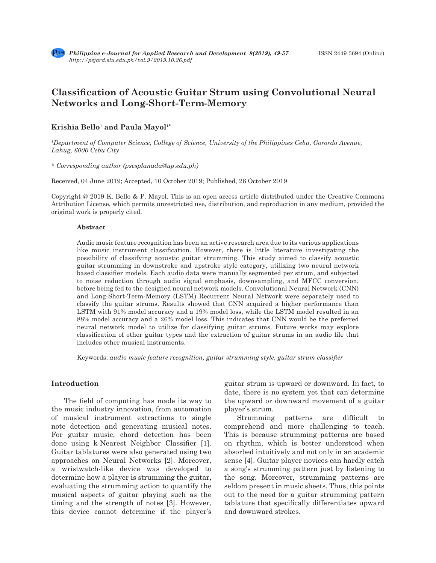

# **Classification of Acoustic Guitar Strum using Convolutional Neural Networks and Long-Short-Term-Memory**

# **Krishia Bello<sup>1</sup> and Paula Mayol1\***

*1 Department of Computer Science, College of Science, University of the Philippines Cebu, Gorordo Avenue, Lahug, 6000 Cebu City*

*\* Corresponding author (psesplanada@up.edu.ph)*

Received, 04 June 2019; Accepted, 10 October 2019; Published, 26 October 2019

Copyright @ 2019 K. Bello & P. Mayol. This is an open access article distributed under the Creative Commons Attribution License, which permits unrestricted use, distribution, and reproduction in any medium, provided the original work is properly cited.

#### **Abstract**

Audio music feature recognition has been an active research area due to its various applications like music instrument classification. However, there is little literature investigating the possibility of classifying acoustic guitar strumming. This study aimed to classify acoustic guitar strumming in downstroke and upstroke style category, utilizing two neural network based classifier models. Each audio data were manually segmented per strum, and subjected to noise reduction through audio signal emphasis, downsampling, and MFCC conversion, before being fed to the designed neural network models. Convolutional Neural Network (CNN) and Long-Short-Term-Memory (LSTM) Recurrent Neural Network were separately used to classify the guitar strums. Results showed that CNN acquired a higher performance than LSTM with 91% model accuracy and a 19% model loss, while the LSTM model resulted in an 88% model accuracy and a 26% model loss. This indicates that CNN would be the preferred neural network model to utilize for classifying guitar strums. Future works may explore classification of other guitar types and the extraction of guitar strums in an audio file that includes other musical instruments.

Keywords: *audio music feature recognition, guitar strumming style, guitar strum classifier*

# **Introduction**

The field of computing has made its way to the music industry innovation, from automation of musical instrument extractions to single note detection and generating musical notes. For guitar music, chord detection has been done using k-Nearest Neighbor Classifier [1]. Guitar tablatures were also generated using two approaches on Neural Networks [2]. Moreover, a wristwatch-like device was developed to determine how a player is strumming the guitar, evaluating the strumming action to quantify the musical aspects of guitar playing such as the timing and the strength of notes [3]. However, this device cannot determine if the player's guitar strum is upward or downward. In fact, to date, there is no system yet that can determine the upward or downward movement of a guitar player's strum.

Strumming patterns are difficult to comprehend and more challenging to teach. This is because strumming patterns are based on rhythm, which is better understood when absorbed intuitively and not only in an academic sense [4]. Guitar player novices can hardly catch a song's strumming pattern just by listening to the song. Moreover, strumming patterns are seldom present in music sheets. Thus, this points out to the need for a guitar strumming pattern tablature that specifically differentiates upward and downward strokes.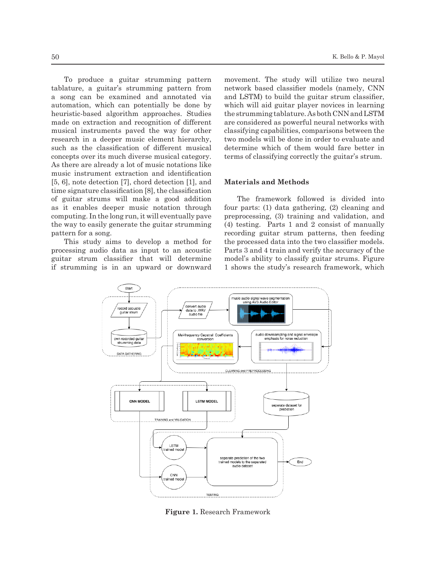To produce a guitar strumming pattern tablature, a guitar's strumming pattern from a song can be examined and annotated via automation, which can potentially be done by heuristic-based algorithm approaches. Studies made on extraction and recognition of different musical instruments paved the way for other research in a deeper music element hierarchy, such as the classification of different musical concepts over its much diverse musical category. As there are already a lot of music notations like music instrument extraction and identification [5, 6], note detection [7], chord detection [1], and time signature classification [8], the classification of guitar strums will make a good addition as it enables deeper music notation through computing. In the long run, it will eventually pave the way to easily generate the guitar strumming pattern for a song.

This study aims to develop a method for processing audio data as input to an acoustic guitar strum classifier that will determine if strumming is in an upward or downward movement. The study will utilize two neural network based classifier models (namely, CNN and LSTM) to build the guitar strum classifier, which will aid guitar player novices in learning the strumming tablature. As both CNN and LSTM are considered as powerful neural networks with classifying capabilities, comparisons between the two models will be done in order to evaluate and determine which of them would fare better in terms of classifying correctly the guitar's strum.

# **Materials and Methods**

The framework followed is divided into four parts: (1) data gathering, (2) cleaning and preprocessing, (3) training and validation, and (4) testing. Parts 1 and 2 consist of manually recording guitar strum patterns, then feeding the processed data into the two classifier models. Parts 3 and 4 train and verify the accuracy of the model's ability to classify guitar strums. Figure 1 shows the study's research framework, which



**Figure 1.** Research Framework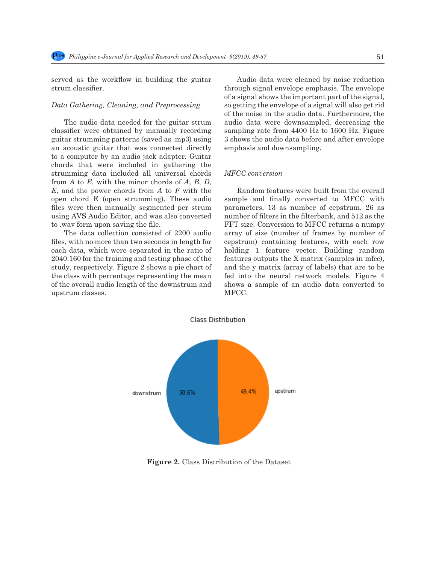served as the workflow in building the guitar strum classifier.

#### *Data Gathering, Cleaning, and Preprocessing*

The audio data needed for the guitar strum classifier were obtained by manually recording guitar strumming patterns (saved as .mp3) using an acoustic guitar that was connected directly to a computer by an audio jack adapter. Guitar chords that were included in gathering the strumming data included all universal chords from *A* to *E*, with the minor chords of *A*, *B*, *D*, *E*, and the power chords from *A* to *F* with the open chord E (open strumming). These audio files were then manually segmented per strum using AVS Audio Editor, and was also converted to .wav form upon saving the file.

The data collection consisted of 2200 audio files, with no more than two seconds in length for each data, which were separated in the ratio of 2040:160 for the training and testing phase of the study, respectively. Figure 2 shows a pie chart of the class with percentage representing the mean of the overall audio length of the downstrum and upstrum classes.

Audio data were cleaned by noise reduction through signal envelope emphasis. The envelope of a signal shows the important part of the signal, so getting the envelope of a signal will also get rid of the noise in the audio data. Furthermore, the audio data were downsampled, decreasing the sampling rate from 4400 Hz to 1600 Hz. Figure 3 shows the audio data before and after envelope emphasis and downsampling.

### *MFCC conversion*

Random features were built from the overall sample and finally converted to MFCC with parameters, 13 as number of cepstrum, 26 as number of filters in the filterbank, and 512 as the FFT size. Conversion to MFCC returns a numpy array of size (number of frames by number of cepstrum) containing features, with each row holding 1 feature vector. Building random features outputs the X matrix (samples in mfcc), and the y matrix (array of labels) that are to be fed into the neural network models. Figure 4 shows a sample of an audio data converted to MFCC.



 **Figure 2.** Class Distribution of the Dataset

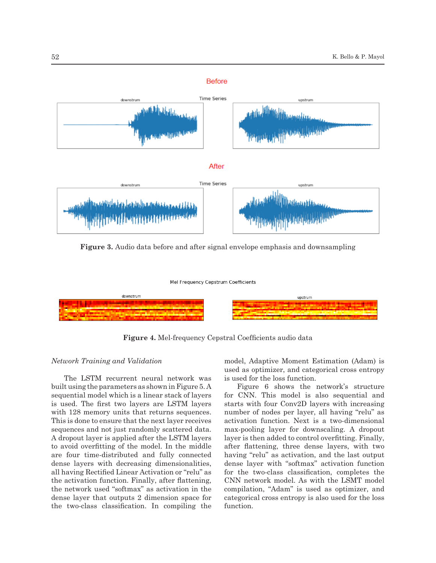

**Figure 3.** Audio data before and after signal envelope emphasis and downsampling

#### Mel Frequency Cepstrum Coefficients



**Figure 4.** Mel-frequency Cepstral Coefficients audio data

#### *Network Training and Validation*

The LSTM recurrent neural network was built using the parameters as shown in Figure 5. A sequential model which is a linear stack of layers is used. The first two layers are LSTM layers with 128 memory units that returns sequences. This is done to ensure that the next layer receives sequences and not just randomly scattered data. A dropout layer is applied after the LSTM layers to avoid overfitting of the model. In the middle are four time-distributed and fully connected dense layers with decreasing dimensionalities, all having Rectified Linear Activation or "relu" as the activation function. Finally, after flattening, the network used "softmax" as activation in the dense layer that outputs 2 dimension space for the two-class classification. In compiling the model, Adaptive Moment Estimation (Adam) is used as optimizer, and categorical cross entropy is used for the loss function.

Figure 6 shows the network's structure for CNN. This model is also sequential and starts with four Conv2D layers with increasing number of nodes per layer, all having "relu" as activation function. Next is a two-dimensional max-pooling layer for downscaling. A dropout layer is then added to control overfitting. Finally, after flattening, three dense layers, with two having "relu" as activation, and the last output dense layer with "softmax" activation function for the two-class classification, completes the CNN network model. As with the LSMT model compilation, "Adam" is used as optimizer, and categorical cross entropy is also used for the loss function.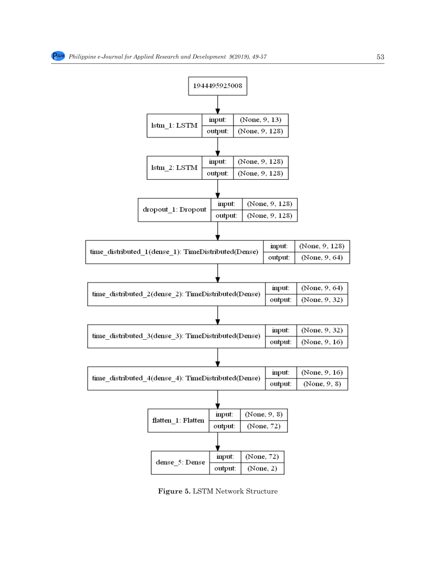

**Figure 5.** LSTM Network Structure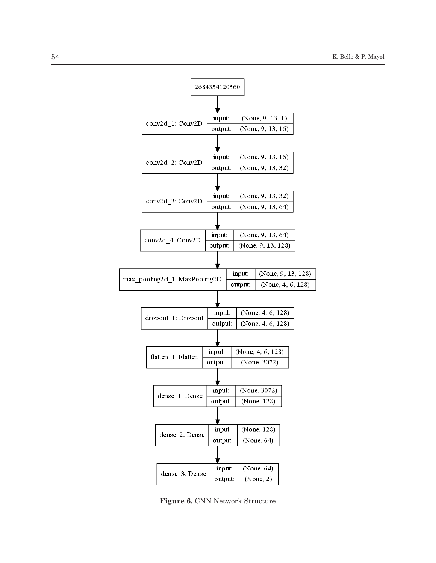

**Figure 6.** CNN Network Structure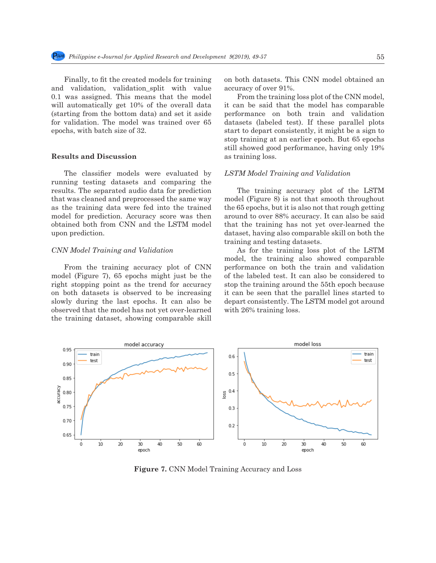Finally, to fit the created models for training and validation, validation split with value 0.1 was assigned. This means that the model will automatically get 10% of the overall data (starting from the bottom data) and set it aside for validation. The model was trained over 65 epochs, with batch size of 32.

# **Results and Discussion**

The classifier models were evaluated by running testing datasets and comparing the results. The separated audio data for prediction that was cleaned and preprocessed the same way as the training data were fed into the trained model for prediction. Accuracy score was then obtained both from CNN and the LSTM model upon prediction.

# *CNN Model Training and Validation*

From the training accuracy plot of CNN model (Figure 7), 65 epochs might just be the right stopping point as the trend for accuracy on both datasets is observed to be increasing slowly during the last epochs. It can also be observed that the model has not yet over-learned the training dataset, showing comparable skill on both datasets. This CNN model obtained an accuracy of over 91%.

From the training loss plot of the CNN model, it can be said that the model has comparable performance on both train and validation datasets (labeled test). If these parallel plots start to depart consistently, it might be a sign to stop training at an earlier epoch. But 65 epochs still showed good performance, having only 19% as training loss.

#### *LSTM Model Training and Validation*

The training accuracy plot of the LSTM model (Figure 8) is not that smooth throughout the 65 epochs, but it is also not that rough getting around to over 88% accuracy. It can also be said that the training has not yet over-learned the dataset, having also comparable skill on both the training and testing datasets.

As for the training loss plot of the LSTM model, the training also showed comparable performance on both the train and validation of the labeled test. It can also be considered to stop the training around the 55th epoch because it can be seen that the parallel lines started to depart consistently. The LSTM model got around with 26% training loss.



**Figure 7.** CNN Model Training Accuracy and Loss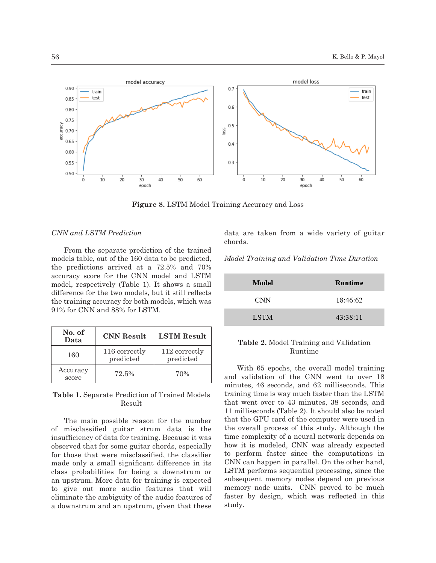

**Figure 8.** LSTM Model Training Accuracy and Loss

# *CNN and LSTM Prediction*

From the separate prediction of the trained models table, out of the 160 data to be predicted, the predictions arrived at a 72.5% and 70% accuracy score for the CNN model and LSTM model, respectively (Table 1). It shows a small difference for the two models, but it still reflects the training accuracy for both models, which was 91% for CNN and 88% for LSTM.

| No. of<br>Data    | <b>CNN Result</b>          | <b>LSTM Result</b>         |
|-------------------|----------------------------|----------------------------|
| 160               | 116 correctly<br>predicted | 112 correctly<br>predicted |
| Accuracy<br>score | 72.5%                      | 70%                        |

**Table 1.** Separate Prediction of Trained Models Result

The main possible reason for the number of misclassified guitar strum data is the insufficiency of data for training. Because it was observed that for some guitar chords, especially for those that were misclassified, the classifier made only a small significant difference in its class probabilities for being a downstrum or an upstrum. More data for training is expected to give out more audio features that will eliminate the ambiguity of the audio features of a downstrum and an upstrum, given that these data are taken from a wide variety of guitar chords.

| Model Training and Validation Time Duration |  |  |
|---------------------------------------------|--|--|
|---------------------------------------------|--|--|

| Model       | Runtime  |
|-------------|----------|
| <b>CNN</b>  | 18:46:62 |
| <b>LSTM</b> | 43:38:11 |

## **Table 2.** Model Training and Validation Runtime

With 65 epochs, the overall model training and validation of the CNN went to over 18 minutes, 46 seconds, and 62 milliseconds. This training time is way much faster than the LSTM that went over to 43 minutes, 38 seconds, and 11 milliseconds (Table 2). It should also be noted that the GPU card of the computer were used in the overall process of this study. Although the time complexity of a neural network depends on how it is modeled, CNN was already expected to perform faster since the computations in CNN can happen in parallel. On the other hand, LSTM performs sequential processing, since the subsequent memory nodes depend on previous memory node units. CNN proved to be much faster by design, which was reflected in this study.